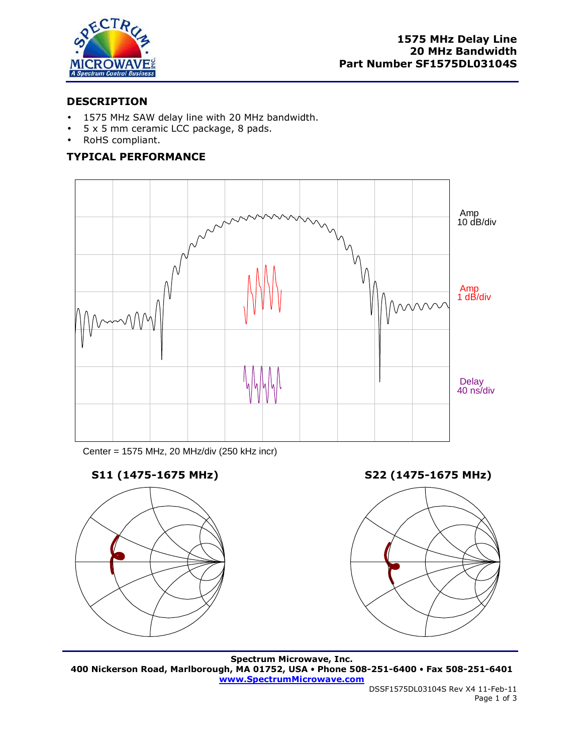

## **DESCRIPTION**

- 1575 MHz SAW delay line with 20 MHz bandwidth.
- 5 x 5 mm ceramic LCC package, 8 pads.
- RoHS compliant.

# **TYPICAL PERFORMANCE**



Center = 1575 MHz, 20 MHz/div (250 kHz incr)



**S11 (1475-1675 MHz) S22 (1475-1675 MHz)** 



**Spectrum Microwave, Inc. 400 Nickerson Road, Marlborough, MA 01752, USA Phone 508-251-6400 Fax 508-251-6401 www.SpectrumMicrowave.com**

DSSF1575DL03104S Rev X4 11-Feb-11 Page 1 of 3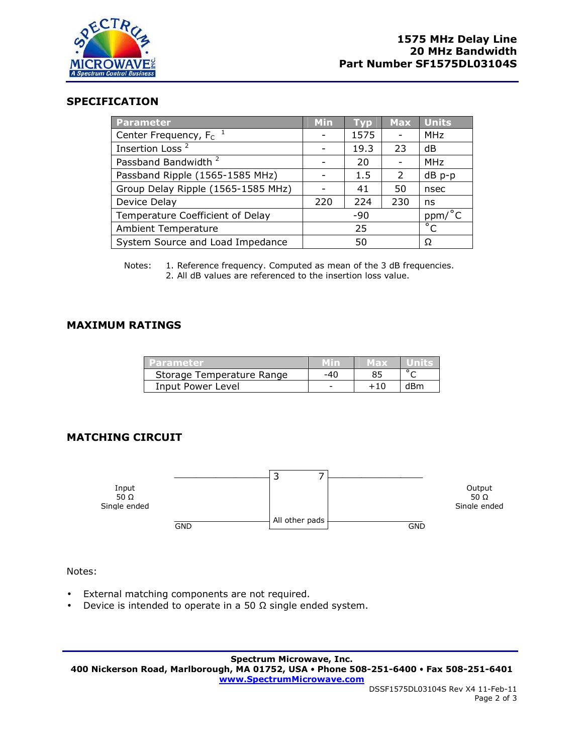

## **SPECIFICATION**

| Parameter                          | Min   | Tvp  | <b>Max</b> | <b>Units</b>                         |
|------------------------------------|-------|------|------------|--------------------------------------|
| Center Frequency, F <sub>c</sub>   |       | 1575 |            | <b>MHz</b>                           |
| Insertion Loss <sup>2</sup>        |       | 19.3 | 23         | dB                                   |
| Passband Bandwidth <sup>2</sup>    |       | 20   |            | <b>MHz</b>                           |
| Passband Ripple (1565-1585 MHz)    |       | 1.5  | 2          | dB p-p                               |
| Group Delay Ripple (1565-1585 MHz) |       | 41   | 50         | nsec                                 |
| Device Delay                       | 220   | 224  | 230        | ns                                   |
| Temperature Coefficient of Delay   | $-90$ |      |            | ppm/°C                               |
| <b>Ambient Temperature</b>         | 25    |      |            | $\overline{\overline{\overline{C}}}$ |
| System Source and Load Impedance   | 50    |      |            | Ω                                    |

Notes: 1. Reference frequency. Computed as mean of the 3 dB frequencies. 2. All dB values are referenced to the insertion loss value.

#### **MAXIMUM RATINGS**

| l Parameter.              |     | <u>in axz</u> | <b>LUMBES</b> |
|---------------------------|-----|---------------|---------------|
| Storage Temperature Range | -40 |               |               |
| Input Power Level         |     |               | dBm           |

#### **MATCHING CIRCUIT**



Notes:

- External matching components are not required.
- Device is intended to operate in a 50  $\Omega$  single ended system.

**Spectrum Microwave, Inc. 400 Nickerson Road, Marlborough, MA 01752, USA Phone 508-251-6400 Fax 508-251-6401 www.SpectrumMicrowave.com**